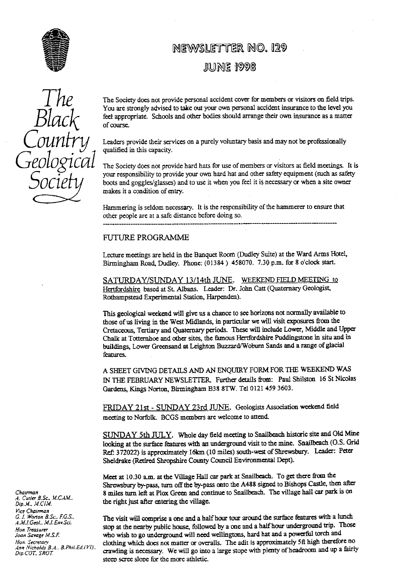

# **NEWSLETTER NO. 129**

# **JUNE 1998**

The Society does not provide personal accident cover for members or visitors on field trips.<br>You are strongly advised to take out your own personal accident insurance to the level you feel appropriate. Schools and other bodies should arrange their own insurance as a matter of course.

> Leaders provide their services on a purely voluntary basis and may not be professionally qualified in this capacity.

The Society does not provide hard hats for use of members or visitors at field meetings. It is your responsibility to provide your own hard hat and other safety equipment (such as safety Society wour responsibility to provide your own hard hat and other safety equipment (such as safety boots and goggles/glasses) and to use it when you feel it is necessary or when a site owner boots and goggles/glasses) and to use it when you feel it is necessary or when a site owner makes it a condition of entry.

> Hammering is seldom necessary. It is the responsibility of the hammerer to ensure that other people are at a safe distance before doing so.

### FUTURE PROGRAMME

Lecture **meetings** are held in the Banquet Room (Dudley Suite) at the Ward Arms Hotel, Birmingham Road, Dudley. Phone: (01384) 458070. 7.30 p.m. for 8 o'clock start.

**SATURDAY/SUNDAY** 13/14th JUNE. WEEKEND FIELD **MEETING** to Hertfordshire based at St. Albans. Leader: Dr. John Ca**tt** (Quaternary Geologist, Rothampstead Experimental Station, Harpenden).

This geological weekend will give us a chance to see horizons not normally available to those of us living in the West Midlands, in particular we will visit exposures from the Cretaceous, Tertiary and Quaternary periods. These will include Lower, Middle and Upper Chalk at Totternhoe and other sites, the famous Hertfordshire Puddingstone in situ and in buildings, Lower Greensand at Leighton Buzzard/Woburn Sands and a range of glacial features.

A SHEET GIVING DETAILS AND AN ENQUIRY FORM FOR THE WEEKEND WAS IN THE FEBRUARY NEWSLE**TT**ER Further details from: Paul Shilston 16 St Nicolas Gardens, Kings Norton, Birmingham B38 8TW. Tel 0121 459 3603.

FRIDAY 21st - SUNDAY 23rd JUNE. Geologists Association weekend field meeting to Norfolk. BCGS members are welcome to attend.

SUNDAY 5th JULY. Whole day field meeting to Snailbeach historic site and Old Mine looking at the surface features with an underground visit to the mine. Snailbeach (O.S. Grid Ref: 372022) is approximately 16km (10 miles) south-west of Shrewsbury. Leader: Peter Sheldrake (Retired Shropshire County Council Environmental Dept).

Meet at 1030 a.m. at the Village Hall car park at Snailbeach. To get there from the Shrewsbury by-pass, turn off the by-pass onto the A488 signed to Bishops Castle, then after *Chairman* 8 miles tarn left at Plox Green and continue to Snailbeach. The village hall car park is on the right just after entering the village.

*G* **I.** *Watwn B.Sc.. F.G.S.* The visit will comprise a one and a half hour tour around the surface features with a lunch Hon *Treasurer* stop at the nearby public house, followed by a one and a half hour underground trip. Those Hon *Treasurer*<br>Joan Savage M.S.F. who wish to go underground will need wellingtons, hard hat and a powerful torch Joan Savage M.S.F. who wish to go underground will need wellingtons, hard hat and a powerful torch and Hon. Secretary<br>Hon. Secretary electronic clothing which does not matter or overalls. The adit is approximately 5ft high *Hon. Secretary clothing which does not matter or overalls. The adit is approximately 5ft high therefore no*<br>Ann Nicholds B.A., B.Phil.Ed.(VI). **considers is necessary.** We will go into a long given with planty of headso *. nn Nicholds B.<sup>A</sup> .. B.Phil.Ed.l t/f)..* crawling necessary. e wiB o into a **large** sta with plenty of headroom and up a fairly *Dip.COT.. SROT.* <sup>g</sup> **We go** <sup>l</sup> <sup>g</sup> ^ ^ ^ steep scree slope for the more athletic.

*A. Cutler B.Sc., M.CAM., Dip.M., M.CIM. ( r ice Chairman* A.,11.1.Geol.. M.*I.* EnvSci.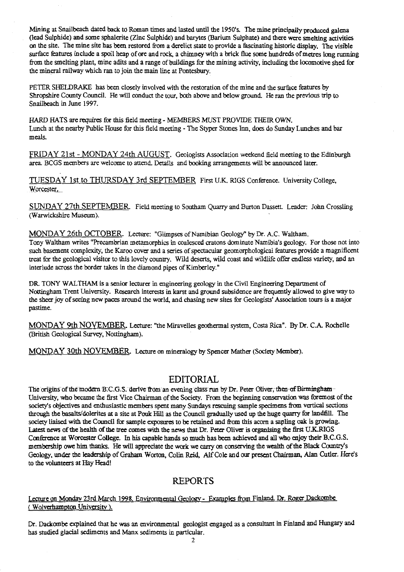Mining at Snailbeach dated back to Roman times and lasted until the 1950's. The mine principally produced galena (lead Sulphide) and some sphalerite (Zinc *Sulphide)* and barytes (Barium Sulphate) and there were smelting activities on the site. The mine site has been restored from a derelict state to provide a fascinating historic display. The visible surface features include a spoil heap of ore and rock, a chimney with a brick flue some hundreds of metres long running from the smelting plant, mine adits and a range of buildings for the mining activity, including the locomotive shed for the mineral railway which ran to join the main line at Pontesbury.

PETER SHELDRAKE has been closely involved with the restoration of the mine and the surface features by Shropshire County Council. He will conduct the tour, both above and below ground. He ran the previous trip to Snailbeach in June 1997.

HARD HATS are requires for this field meeting - MEMBERS MUST PROVIDE THEIR OWN. Lunch at the nearby Public House for this field meeting - The Styper Stones Inn, does do Sunday Lunches and bar meals.

FRIDAY 21st - MONDAY 24th AUGUST . Geologists Association weekend field meeting to the Edinburgh area. BCGS members are welcome to attend. Details and booking arrangements will be announced later.

TUESDAY 1st to THURSDAY 3rd SEPTEMBER First U.K. RIGS Conference. University College, Worcester.

SUNDAY 27th SEPTEMBER Field meeting to Southam Quarry and Burton Dassett. Leader: John Crossling (Warwickshire Museum).

MONDAY 26th OCTOBER. Lecture: "Glimpses of Namibian Geology" by Dr. A.C. Waltham. Tony Waltham writes "Precambrian metamorphics in coalesced cratons dominate Namibia's geology. For those not into such basement complexity, the Karoo cover and a series of spectacular geomorphological features provide a magnificent treat for the geological visitor to this lovely country. Wild deserts, wild coast and wildlife offer endless variety, and an interlude across the border takes in the diamond pipes of Kimberley."

DR. TONY WALTHAM is a senior lecturer in engineering geology in the Civil Engineering Department of Nottingham Treat University. Research interests in karst and ground subsidence are frequently allowed to give way to the sheer joy of seeing new paces around the world, and chasing new sites for Geologists' Association tours is a major pastime.

MONDAY 9th NOVEMBER. Lecture: "the Miravelles geothermal system, Costa Rica". By Dr. C.A. Rochelle (British Geological Survey, Nottingham).

MONDAY 30th NOVEMBER Lecture on mineralogy by Spencer Mather (Society Member).

## **EDITORIAL**

The origins of the modern B.C.G.S. derive from an evening class run by Dr. Peter Oliver, then of Birmingham-University, who became the first Vice Chairman of the Society. From the beginning conservation was foremost of the society's objectives and enthusiastic members spent many Sundays rescuing sample specimens from vertical sections through the basalts/dolerites at a site at Pouk Hill as the Council gradually used *up* the huge quarry for landfill. The society liaised with the Council for sample exposures to be retained and from this acorn a sapling oak is growing. Latest news of the health of the tree comes with the news that Dr. Peter Oliver is organising the first U.K-RIGS Conference at Worcester College. In his capable hands so much has been achieved and all who enjoy their B.C.G.S. membership owe him thanks. He will appreciate the work we carry on conserving the wealth of the Black County's Geology, **under the leadership of Graham Worton, Cohn Reid, Alf Cole** and our present Chairman, Alan Cutler. Here's to the volunteers at Hay Head!

# **REPORTS**

Lecture on Monday 23rd March 1998. Environmental Geology - Examples from Finland. Dr. Roger Dackombe ( Wolverhampton University ).

Dr. Dackombe explained that he was an environmental geologist engaged as a consultant in Finland and Hungary and has studied glacial sediments and Manx sediments in particular.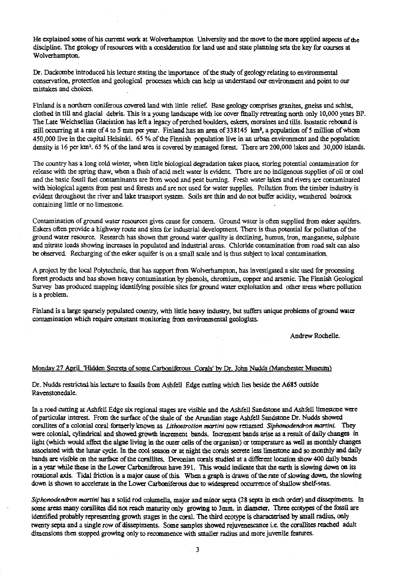He explained some of his current work at Wolverhampton University and the move to the more applied aspects of *the* discipline. The geology of resources with a consideration for land use and state planning sets the key for courses at Wolverhampton.

Dr. Dackombe introduced his lecture stating the importance of the study of geology relating to environmental conservation, protection and geological processes which can help us understand our environment and point to our mistakes and choices.

Finland is a northern coniferous covered land with little relief. Base geology comprises granites, gneiss and schist, clothed in till and glacial debris. This is a young landscape with ice cover finally retreating north only 10,000 years BP. The Late Weichselian Glaciation has left a legacy of perched boulders, eskers, moraines and tills. Isostatic rebound is still occurring at a rate of 4 to 5 mm per year. Finland has an area of 338145 km<sup>2</sup>, a population of 5 million of whom 450,000 Iive in the capital Helsinki. 65 % of the Finnish population live in an urban environment and the population density is 16 per km<sup>2</sup> . 65 % of the land area is covered by managed forest. There are 200,000 lakes and 30,000 islands.

The country has a long cold winter, when little biological degradation takes place, storing potential contamination for release with the spring thaw, when a flush of acid melt water is evident. There are no indigenous supplies of oil or coal and the basic fossil fuel contaminants are from wood and peat burning. Fresh water takes and rivers are contaminated with biological agents from peat and forests and are not used for water supplies. Pollution from the timber industry is evident throughout the river and take transport system. Soils are thin and do not buffer acidity, weathered bedrock containing little or no limestone.

Contamination of ground water resources gives cause for concern. Ground water is often supplied from esker aquifers. Eskers often provide a highway route and sites for industrial development. There is thus potential for pollution of the ground water resource. Research has shown that ground water quality is declining, humus, iron, manganese, sulphate and nitrate loads showing increases in populated and industrial areas. Chloride contamination from road salt can also be observed. Recharging of the esker aquifer is on a small scale and is thus subject to local contamination.

A project by the local Polytechnic, that has support from Wolverhampton, has investigated a site used for processing forest products and has shown heavy contamination by phenols, chromium, copper and arsenic. The Finnish Geological Survey has produced mapping identifying possible sites for ground water exploitation and other areas where pollution is a problem.

Finland is a large sparsely populated country, with little heavy industry, but suffers unique problems of ground water contamination which require constant monitoring from environmental geologists.

Andrew Rochelle.

#### Monday 27 April 'Hidden Secrets of some Carboniferous Corals' by Dr. John Nudds (Manchester Museum)

Dr. Nudds restricted his-lecture to fossils from Ashfell Edge cutting which lies beside the A685 outside Ravenstonedale.

In a road cutting at Ashfell Edge six regional stages are visible and the Ashfell Sandstone and Ashfell limestone were of particular interest. From the surface of the shale of the Aruundian stage Ashfell Sandstone Dr. Nudds showed corallites of a colonial coral formerly known as *Lithostrotion ma<sup>r</sup> tini* now renamed *Siphonodendron martini.* They were colonial, cylindrical and showed growth increment bands. Increment bands arise as a result of daily changes in light (which would affect the algae living in the outer cells of the organism) or temperature as well as monthly changes associated with the lunar cycle. In the cool season or at night the corals secrete less limestone and so monthly and daily bands are visible on the surface of the corallites. Devonian corals studied at a different location show 400 daily bands in a year while these in the Lower Carboniferous have 391. This would indicate that the earth is slowing down on its rotational axis. Tidal friction is a major cause of this. When a graph is drawn of the rate of slowing down, the slowing down is shown to accelerate in the Lower Carboniferous due to widespread occurrence of shallow shelf-seas.

*Siphonodendron martini* has a solid rod columella, major and minor septa (28 septa in each order) and dissepiments. In some areas many corallites did not reach maturity only growing to 3mm. in diameter. Three ecotypes of the fossil are identified probably representing growth stages in the coral. The third ecotype is characterised by small radius, only twenty septa and a single row of dissephnents. Some samples showed rejuvenescance i.e. the corallites reached adult dimensions then stopped growing only to recommence with smaller radius and more juvenile features.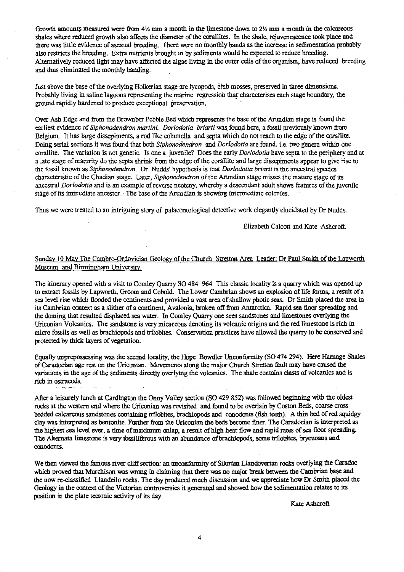Growth amounts measured were from  $4\frac{1}{2}$  mm a month in the limestone down to  $2\frac{1}{2}$  mm a month in the calcareous shales where reduced growth also affects the diameter of the corallites. In the shale, rejuvenescence took place and there was little evidence of asexual breeding. There were no monthly bands as the increase in sedimentation probably also restricts the breeding. Extra nutrients brought in by sediments would be expected to reduce breeding. Alternatively reduced light may have affected the algae living in the outer cells of the organism, have reduced breeding and thus eliminated the monthly banding.

Just above the base of the overlying Holkcrian stage are lycopods, club mosses, preserved in three dimensions. Probably living in saline lagoons representing the marine regression that characterises each stage boundary, the ground rapidly hardened to produce exceptional preservation.

Over Ash Edge and from the Brownber Pebble Bed which represents the base of the Arundian stage is found the earliest evidence of *Siphonodendron martini. Dorlodotia briarti* was found here, a fossil previously known from Belgium. It has large dissepiments, a rod like columella and septa which do not reach to the edge of the corallite. Doing serial sections it was found that both *Siphonodendron* and *Dorlodotia* are found. i.e. two genera within one corallite. The variation is not genetic. Is one a juvenile? Does the early *Dorlodotia* have septa to the periphery and at a late stage of maturity do the septa shrink from the edge of the corallite and large dissepiments appear to give rise to the fossil known as *Siphonodendron.* Dr. Nudds' hypothesis is that *Dorlodotia briarti* is the ancestral species characteristic of the Chadian stage. Later, *Siphonodendron* of the Arundian stage misses the mature stage of its ancestral *Dorlodotia* and is an example of reverse neoteny, whereby a descendant adult shows features of the juvenile stage of its immediate ancestor. The base of the Arundian is showing intermediate colonies.

Thus we were treated to an intriguing story of palaeontological detective work elegantly elucidated by Dr Nudds.

Elizabeth Calcott and Kate Ashcroft.

## Sunday 10 May The Cambro-Ordovician Geology of the Church Stretton Area Leader: Dr Paul Smith of the Lapworth Museum and Birmingham University.

The itinerary opened with a visit to Comley Quarry SO 484 964 This classic locality is a quarry which was opened up to extract fossils by *Lapworth,* Groom and Cobold. The Lower Cambrian shows an explosion of life forms, a result of a sea level rise which flooded the continents and provided a vast area of shallow photic seas. Dr Smith placed the area in its Cambrian context as a slither of a continent, Avalonia, broken off from Antarctica. Rapid sea floor spreading and the doming that resulted displaced sea water. In Comley Quarry one sees sandstones and limestones overlying the Uriconian Volcanics. The sandstone is *very* micaceous denoting its volcanic origins and the red limestone is *rich* in micro fossils as well as brachiopods and trilobites. Conservation practices have allowed the quarry to be conserved and protected by thick layers of vegetation.

Equally unprepossessing was the second locality, the Hope Bowdler Unconformity (SO 474 294). Here Harnage Shales of Caradocian age rest on the Uriconian. Movements along the major Church Stretton fault may have caused the variations in the age of the sediments directly overlying the volcanics. The shale contains clasts of volcanics and is rich in ostracods.

After a leisurely lunch at Cardington the Onny Valley section (SO 429 852) was followed beginning with the oldest rocks at the western end where the Uriconian was revisited and found to be overlain by Coston Beds, coarse cross bedded calcareous sandstones containing trilobites, brachiopods and conodonts (fish teeth)\_ A thin bed of red squidgy clay was interpreted as bentonite. Further from the Uriconian the beds become finer. The Caradocian is interpreted as the highest sea level ever, a time of maximum onlap, a result of high. heat flow and rapid rates of sea floor spreading. The Alternata limestone is very fossiliferous with an abundance of brachiopods, some tr<sup>i</sup> lobites, bryozoans and conodonts.

We then viewed the famous river cliff section: an unconforniity of Silurian Llandoverian rocks overlying the Caradoc which proved that Murchison was wrong in claiming that there was no major break between the Cambrian base and the now re-classified Llandeilo rocks. The day produced much discussion and we appreciate how Dr Smith placed the Geology in the context of the Victorian controversies it generated and showed how the sedimentation relates to its position in the plate tectonic activity of its day.

Kate Ashcroft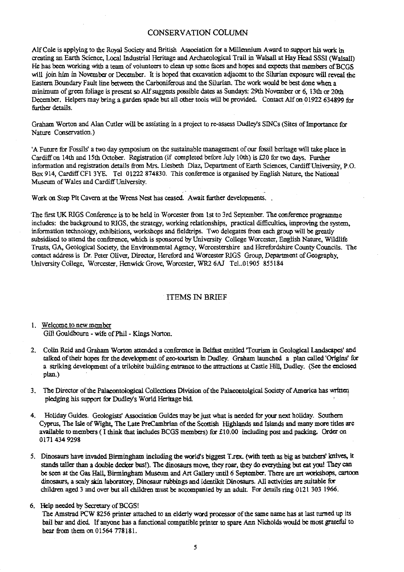#### CONSERVATION COLUMN

Alf Cole is applying to the Royal Society and British Association for a Millennium Award to support his work in creating an Earth Science, Local Industrial Heritage and Archaeological Trail in Walsall at Hay Head SSSI (Walsall) He has been working with a team of volunteers to clean up some faces and hopes and expects that members of BCGS will join him in November or December. It is hoped that excavation adjacent to the Silurian exposure will reveal the Eastern Boundary Fault line between the Carboniferous and the Silurian. The work would be best done when a minimum of green foliage is present so Alf suggests possible dates as Sundays: 29th November or 6, 13th or 20th December. Helpers may bring a garden spade but all other tools will be provided. Contact Alf on 01922 634899 for further details.

Graham Worton and Alan Cutler will be assisting in a project to re-assess Dudley's SINCs (Sites of Importance for Nature Conservation.)

'A Future for Fossils' a two day symposium on the sustainable management of our fossil heritage will take place in Cardiff on 14th and 15th October. Registration (if completed before July 10th) is £20 for two days. Further information and registration details from Mrs. Liesbeth Diaz, Department of Earth Sciences, Cardiff University, P.O. Box 914, Cardiff CF1 3YE. Tel 01222 874830. This conference is organised by English. Nature, the National Museum of Wales and Cardiff University.

Work on Step Pit Cavern at the Wrens Nest has ceased: Await further developments.

The first UK RIGS Conference is to be held in Worcester from 1st to 3rd September. The conference programme includes: the background to RIGS, the strategy, working relationships, practical difficulties, improving the system, information technology, exhibitions, workshops and fieldtrips. Two delegates from each group will be greatly subsidised to attend the conference, which is sponsored by University College Worcester, English Nature, Wildlife Trusts, GA, Geological Society, the Environmental Agency, Worcestershire and Herefordshire County Councils. The contact address is Dr. Peter Oliver, Director, Hereford and Worcester RIGS Group, Department of Geography, University College, Worcester, Henwick Grove, Worcester, WR2 6AJ Tel..01905 855184

#### ITEMS IN BRIEF

1. Welcome to new member Gill Gouldbourn - wife of Phil - Kings Norton.

- 2. Colin Reid and Graham Worton attended a conference in Belfast entitled 'Tourism in Geological Landscapes' and talked of their hopes for the development of geo-tourism in Dudley. Graham launched a plan called 'Origins' for a striking development of a trilobite building entrance to the attractions at Castle Hill, Dudley. (See the enclosed plan.)
- 3. The Director of the Palacontoiogical Collections Division of the Palaeontolgical Society of America has written} pledging his support for Dudley's World Heritage bid.
- 4. Holiday Guides. Geologists' Association Guides may be just what is needed for your *next* holiday. Southern Cyprus, The Isle of Wight, The Late PreCambrian of the Scottish Highlands and Islands and many more titles are available to members (I think that includes BCGS members) for £10.00 including post and packing. Order on 0171 434 9298
- 5. Dinosaurs have invaded Birmingham including the world's biggest T.rex. (with teeth as big as butchers' knives, it stands taller than a double decker bus!). The dinosaurs move, they roar, they do everything but eat you! They can be seen at the Gas Hall, Birmingham Museum and Art Gallery until 6 September. There are art workshops, cartoon dinosaurs, a scaly skin laboratory, Dinosaur rubbings and identikit Dinosaurs. All activities are suitable for children aged 3 and over but all children must be accompanied by an adult. For details ring 0121 303 1966.

#### 6. Help needed by Secretary of BCGS!

The Amstrad PCW 8256 printer attached to *an elderly word* processor of the same name has at last turned up its bail bar and died. If anyone has a functional compatible printer to spare Ann Nicholds would be most grateful to hear from them on 01564 778181.